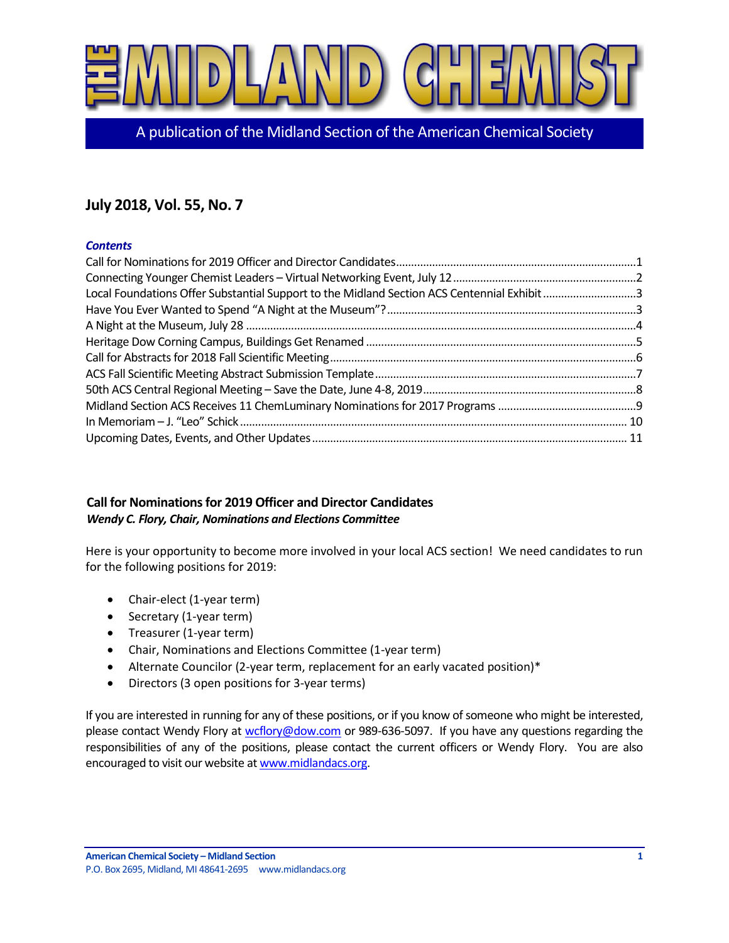

A publication of the Midland Section of the American Chemical Society

# **July 2018, Vol. 55, No. 7**

#### *Contents*

| Local Foundations Offer Substantial Support to the Midland Section ACS Centennial Exhibit 3 |  |
|---------------------------------------------------------------------------------------------|--|
|                                                                                             |  |
|                                                                                             |  |
|                                                                                             |  |
|                                                                                             |  |
|                                                                                             |  |
|                                                                                             |  |
|                                                                                             |  |
|                                                                                             |  |
|                                                                                             |  |

### <span id="page-0-0"></span>**Call for Nominations for 2019 Officer and Director Candidates**  *Wendy C. Flory, Chair, Nominations and Elections Committee*

Here is your opportunity to become more involved in your local ACS section! We need candidates to run for the following positions for 2019:

- Chair-elect (1-year term)
- Secretary (1-year term)
- Treasurer (1-year term)
- Chair, Nominations and Elections Committee (1-year term)
- Alternate Councilor (2-year term, replacement for an early vacated position)\*
- Directors (3 open positions for 3-year terms)

If you are interested in running for any of these positions, or if you know of someone who might be interested, please contact Wendy Flory a[t wcflory@dow.com](mailto:wcflory@dow.com) or 989-636-5097. If you have any questions regarding the responsibilities of any of the positions, please contact the current officers or Wendy Flory. You are also encouraged to visit our website a[t www.midlandacs.org.](http://www.midlandacs.org/)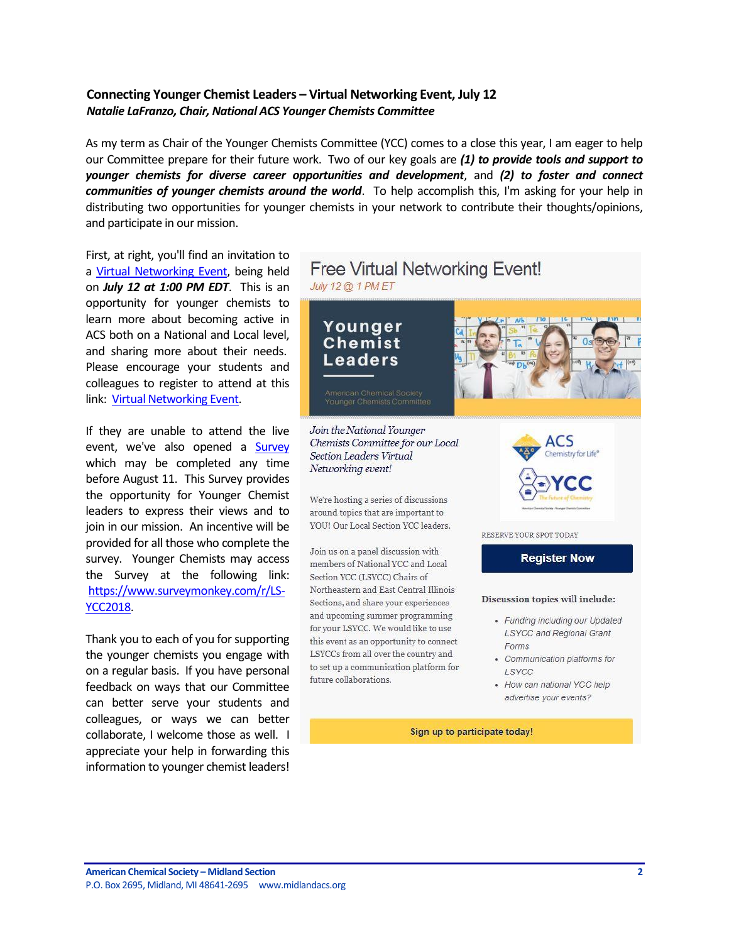### <span id="page-1-0"></span>**Connecting Younger Chemist Leaders – Virtual Networking Event, July 12** *Natalie LaFranzo, Chair, National ACS Younger Chemists Committee*

As my term as Chair of the Younger Chemists Committee (YCC) comes to a close this year, I am eager to help our Committee prepare for their future work. Two of our key goals are *(1) to provide tools and support to younger chemists for diverse career opportunities and development*, and *(2) to foster and connect communities of younger chemists around the world*. To help accomplish this, I'm asking for your help in distributing two opportunities for younger chemists in your network to contribute their thoughts/opinions, and participate in our mission.

First, at right, you'll find an invitation to a [Virtual Networking Event,](https://register.gotowebinar.com/register/6347349076941753347?source=mail+chimp) being held on *July 12 at 1:00 PM EDT*. This is an opportunity for younger chemists to learn more about becoming active in ACS both on a National and Local level, and sharing more about their needs. Please encourage your students and colleagues to register to attend at this link: [Virtual Networking Event.](https://register.gotowebinar.com/register/6347349076941753347?source=mail+chimp)

If they are unable to attend the live event, we've also opened a [Survey](https://www.surveymonkey.com/r/LS-YCC2018) which may be completed any time before August 11. This Survey provides the opportunity for Younger Chemist leaders to express their views and to join in our mission. An incentive will be provided for all those who complete the survey. Younger Chemists may access the Survey at the following link: [https://www.surveymonkey.com/r/LS-](https://www.surveymonkey.com/r/LS-YCC2018)[YCC2018.](https://www.surveymonkey.com/r/LS-YCC2018)

Thank you to each of you for supporting the younger chemists you engage with on a regular basis. If you have personal feedback on ways that our Committee can better serve your students and colleagues, or ways we can better collaborate, I welcome those as well. I appreciate your help in forwarding this information to younger chemist leaders!

## **Free Virtual Networking Event!** July 12 @ 1 PM ET

Younger Chemist Leaders



Join the National Younger Chemists Committee for our Local **Section Leaders Virtual** Networking event!

We're hosting a series of discussions around topics that are important to YOU! Our Local Section YCC leaders.

Join us on a panel discussion with members of National YCC and Local Section YCC (LSYCC) Chairs of Northeastern and East Central Illinois Sections, and share your experiences and upcoming summer programming for your LSYCC. We would like to use this event as an opportunity to connect LSYCCs from all over the country and to set up a communication platform for future collaborations.



RESERVE YOUR SPOT TODAY

**Register Now** 

#### Discussion topics will include:

- · Funding including our Updated **LSYCC and Regional Grant** Forms
- Communication platforms for LSYCC
- How can national YCC help advertise your events?

Sign up to participate today!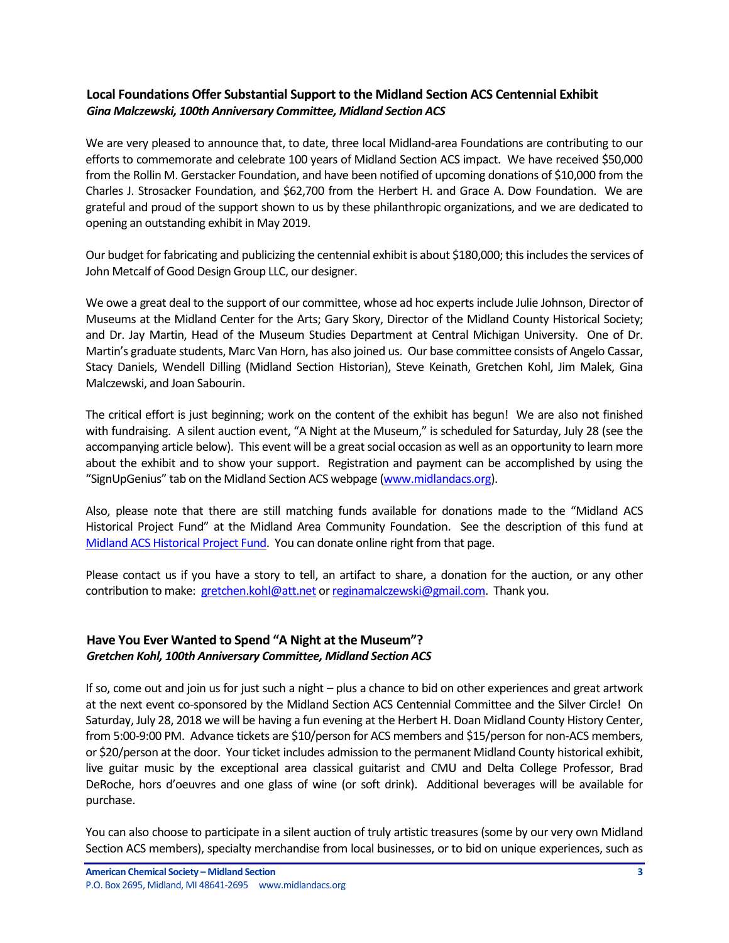### <span id="page-2-0"></span>**Local Foundations Offer Substantial Support to the Midland Section ACS Centennial Exhibit** *Gina Malczewski, 100th Anniversary Committee, Midland Section ACS*

We are very pleased to announce that, to date, three local Midland-area Foundations are contributing to our efforts to commemorate and celebrate 100 years of Midland Section ACS impact. We have received \$50,000 from the Rollin M. Gerstacker Foundation, and have been notified of upcoming donations of \$10,000 from the Charles J. Strosacker Foundation, and \$62,700 from the Herbert H. and Grace A. Dow Foundation. We are grateful and proud of the support shown to us by these philanthropic organizations, and we are dedicated to opening an outstanding exhibit in May 2019.

Our budget for fabricating and publicizing the centennial exhibit is about \$180,000; this includes the services of John Metcalf of Good Design Group LLC, our designer.

We owe a great deal to the support of our committee, whose ad hoc experts include Julie Johnson, Director of Museums at the Midland Center for the Arts; Gary Skory, Director of the Midland County Historical Society; and Dr. Jay Martin, Head of the Museum Studies Department at Central Michigan University. One of Dr. Martin's graduate students, Marc Van Horn, has also joined us. Our base committee consists of Angelo Cassar, Stacy Daniels, Wendell Dilling (Midland Section Historian), Steve Keinath, Gretchen Kohl, Jim Malek, Gina Malczewski, and Joan Sabourin.

The critical effort is just beginning; work on the content of the exhibit has begun! We are also not finished with fundraising. A silent auction event, "A Night at the Museum," is scheduled for Saturday, July 28 (see the accompanying article below). This event will be a great social occasion as well as an opportunity to learn more about the exhibit and to show your support. Registration and payment can be accomplished by using the "SignUpGenius" tab on the Midland Section ACS webpage [\(www.midlandacs.org\)](http://www.midlandacs.org/).

Also, please note that there are still matching funds available for donations made to the "Midland ACS Historical Project Fund" at the Midland Area Community Foundation. See the description of this fund at [Midland ACS Historical Project Fund.](https://www.midlandfoundation.org/fund-list/2017/12/13/midland-acs-historical-project-fund) You can donate online right from that page.

Please contact us if you have a story to tell, an artifact to share, a donation for the auction, or any other contribution to make: [gretchen.kohl@att.net](mailto:gretchen.kohl@att.net) o[r reginamalczewski@gmail.com.](mailto:reginamalczewski@gmail.com) Thank you.

#### <span id="page-2-1"></span>**Have You Ever Wanted to Spend "A Night at the Museum"?** *Gretchen Kohl, 100th Anniversary Committee, Midland Section ACS*

If so, come out and join us for just such a night – plus a chance to bid on other experiences and great artwork at the next event co-sponsored by the Midland Section ACS Centennial Committee and the Silver Circle! On Saturday, July 28, 2018 we will be having a fun evening at the Herbert H. Doan Midland County History Center, from 5:00-9:00 PM. Advance tickets are \$10/person for ACS members and \$15/person for non-ACS members, or \$20/person at the door. Your ticket includes admission to the permanent Midland County historical exhibit, live guitar music by the exceptional area classical guitarist and CMU and Delta College Professor, Brad DeRoche, hors d'oeuvres and one glass of wine (or soft drink). Additional beverages will be available for purchase.

You can also choose to participate in a silent auction of truly artistic treasures (some by our very own Midland Section ACS members), specialty merchandise from local businesses, or to bid on unique experiences, such as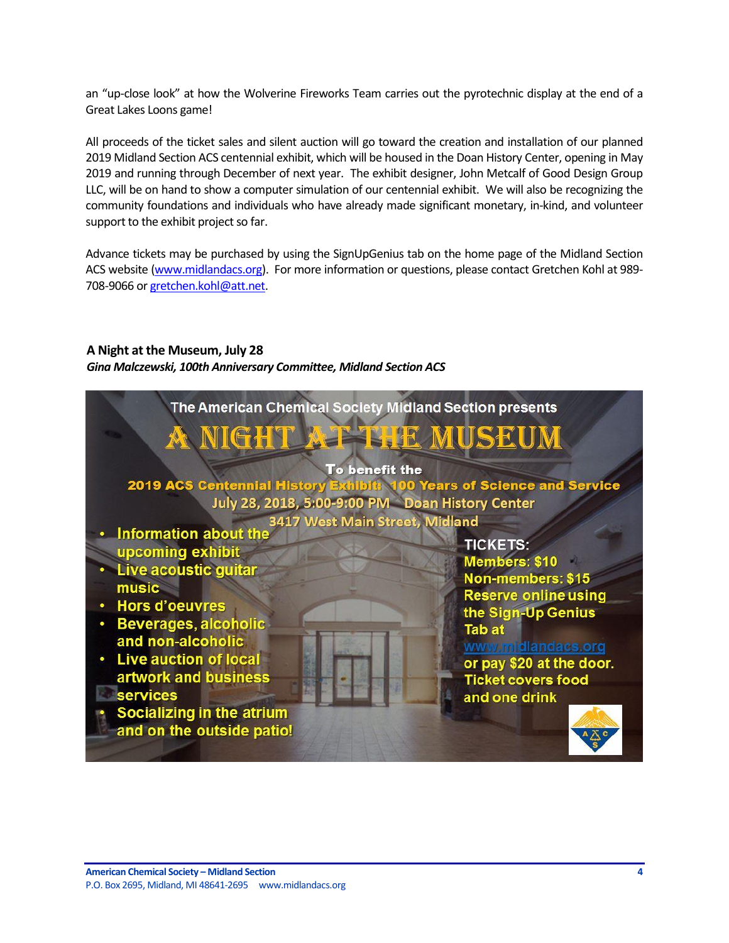an "up-close look" at how the Wolverine Fireworks Team carries out the pyrotechnic display at the end of a Great Lakes Loons game!

All proceeds of the ticket sales and silent auction will go toward the creation and installation of our planned 2019 Midland Section ACS centennial exhibit, which will be housed in the Doan History Center, opening in May 2019 and running through December of next year. The exhibit designer, John Metcalf of Good Design Group LLC, will be on hand to show a computer simulation of our centennial exhibit. We will also be recognizing the community foundations and individuals who have already made significant monetary, in-kind, and volunteer support to the exhibit project so far.

Advance tickets may be purchased by using the SignUpGenius tab on the home page of the Midland Section ACS website [\(www.midlandacs.org\)](http://www.midlandacs.org/). For more information or questions, please contact Gretchen Kohl at 989- 708-9066 o[r gretchen.kohl@att.net.](mailto:gretchen.kohl@att.net)

### <span id="page-3-0"></span>**A Night at the Museum, July 28**

*Gina Malczewski, 100th Anniversary Committee, Midland Section ACS*

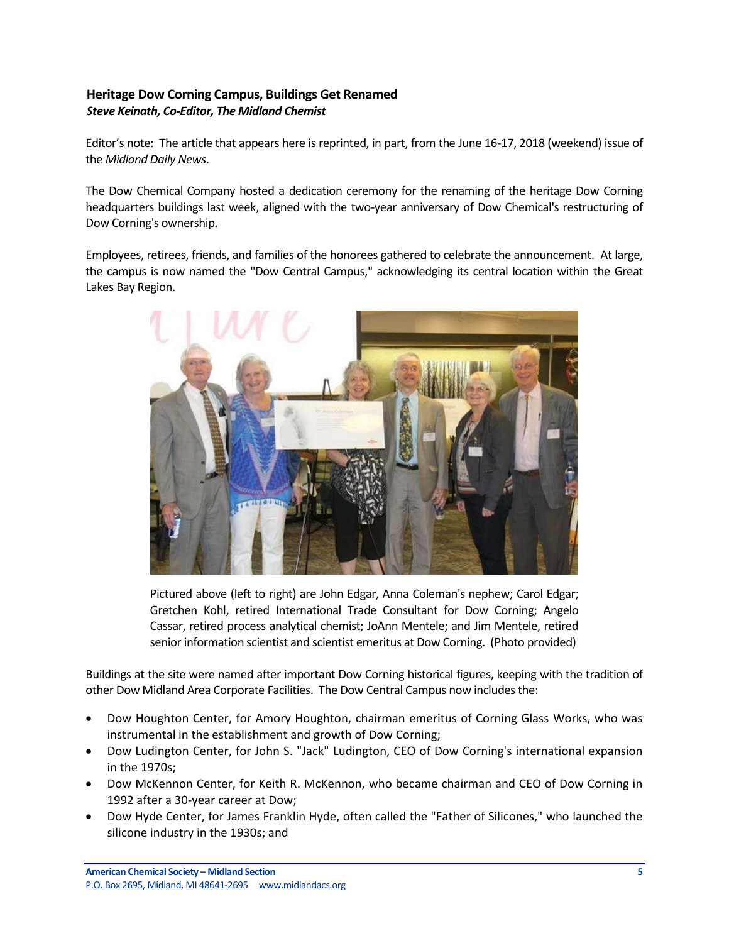### <span id="page-4-0"></span>**Heritage Dow Corning Campus, Buildings Get Renamed** *Steve Keinath, Co-Editor, The Midland Chemist*

Editor's note: The article that appears here is reprinted, in part, from the June 16-17, 2018 (weekend) issue of the *Midland Daily News*.

The Dow Chemical Company hosted a dedication ceremony for the renaming of the heritage Dow Corning headquarters buildings last week, aligned with the two-year anniversary of Dow Chemical's restructuring of Dow Corning's ownership.

Employees, retirees, friends, and families of the honorees gathered to celebrate the announcement. At large, the campus is now named the "Dow Central Campus," acknowledging its central location within the Great Lakes Bay Region.



Pictured above (left to right) are John Edgar, Anna Coleman's nephew; Carol Edgar; Gretchen Kohl, retired International Trade Consultant for Dow Corning; Angelo Cassar, retired process analytical chemist; JoAnn Mentele; and Jim Mentele, retired senior information scientist and scientist emeritus at Dow Corning. (Photo provided)

Buildings at the site were named after important Dow Corning historical figures, keeping with the tradition of other Dow Midland Area Corporate Facilities. The Dow Central Campus now includes the:

- Dow Houghton Center, for Amory Houghton, chairman emeritus of Corning Glass Works, who was instrumental in the establishment and growth of Dow Corning;
- Dow Ludington Center, for John S. "Jack" Ludington, CEO of Dow Corning's international expansion in the 1970s;
- Dow McKennon Center, for Keith R. McKennon, who became chairman and CEO of Dow Corning in 1992 after a 30-year career at Dow;
- Dow Hyde Center, for James Franklin Hyde, often called the "Father of Silicones," who launched the silicone industry in the 1930s; and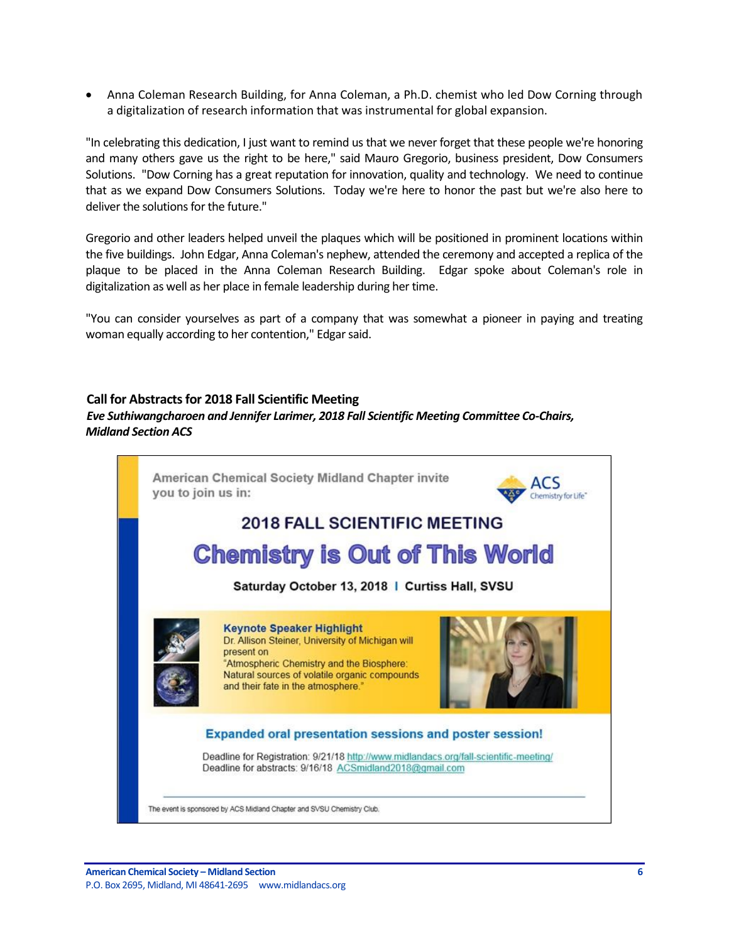Anna Coleman Research Building, for Anna Coleman, a Ph.D. chemist who led Dow Corning through a digitalization of research information that was instrumental for global expansion.

"In celebrating this dedication, I just want to remind us that we never forget that these people we're honoring and many others gave us the right to be here," said Mauro Gregorio, business president, Dow Consumers Solutions. "Dow Corning has a great reputation for innovation, quality and technology. We need to continue that as we expand Dow Consumers Solutions. Today we're here to honor the past but we're also here to deliver the solutions for the future."

Gregorio and other leaders helped unveil the plaques which will be positioned in prominent locations within the five buildings. John Edgar, Anna Coleman's nephew, attended the ceremony and accepted a replica of the plaque to be placed in the Anna Coleman Research Building. Edgar spoke about Coleman's role in digitalization as well as her place in female leadership during her time.

"You can consider yourselves as part of a company that was somewhat a pioneer in paying and treating woman equally according to her contention," Edgar said.

#### <span id="page-5-0"></span>**Call for Abstracts for 2018 Fall Scientific Meeting**

*Eve Suthiwangcharoen and Jennifer Larimer, 2018 Fall Scientific Meeting Committee Co-Chairs, Midland Section ACS*

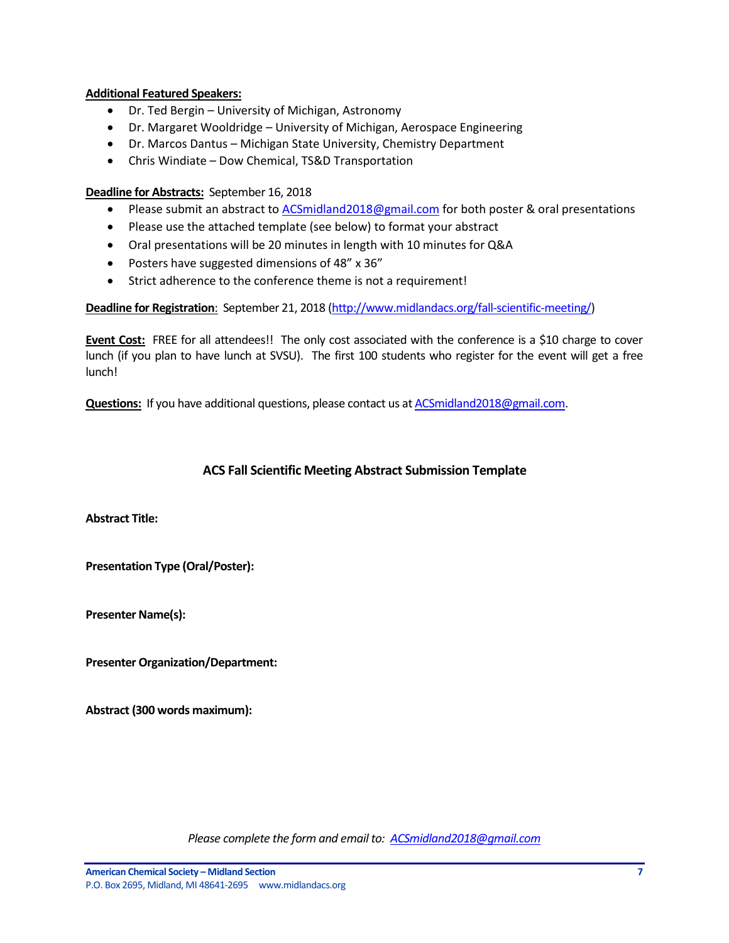#### **Additional Featured Speakers:**

- Dr. Ted Bergin University of Michigan, Astronomy
- Dr. Margaret Wooldridge University of Michigan, Aerospace Engineering
- Dr. Marcos Dantus Michigan State University, Chemistry Department
- Chris Windiate Dow Chemical, TS&D Transportation

#### **Deadline for Abstracts:** September 16, 2018

- Please submit an abstract to **ACSmidland2018@gmail.com for both poster & oral presentations**
- Please use the attached template (see below) to format your abstract
- Oral presentations will be 20 minutes in length with 10 minutes for Q&A
- Posters have suggested dimensions of 48" x 36"
- Strict adherence to the conference theme is not a requirement!

**Deadline for Registration**: September 21, 2018 [\(http://www.midlandacs.org/fall-scientific-meeting/\)](http://www.midlandacs.org/fall-scientific-meeting/)

**Event Cost:** FREE for all attendees!! The only cost associated with the conference is a \$10 charge to cover lunch (if you plan to have lunch at SVSU). The first 100 students who register for the event will get a free lunch!

**Questions:** If you have additional questions, please contact us a[t ACSmidland2018@gmail.com.](mailto:ACSmidland2018@gmail.com)

### **ACS Fall Scientific Meeting Abstract Submission Template**

<span id="page-6-0"></span>**Abstract Title:**

**Presentation Type (Oral/Poster):**

**Presenter Name(s):**

**Presenter Organization/Department:**

**Abstract (300 words maximum):**

*Please complete the form and email to: [ACSmidland2018@gmail.com](mailto:ACSmidland2018@gmail.com)*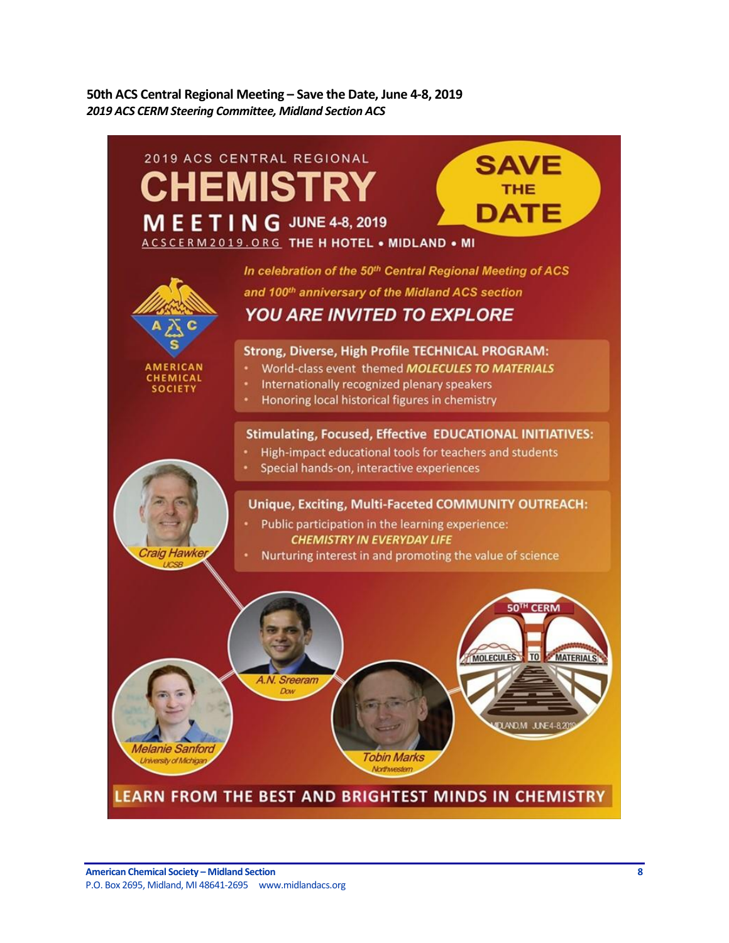<span id="page-7-0"></span>**50th ACS Central Regional Meeting – Save the Date, June 4-8, 2019** *2019 ACS CERM Steering Committee, Midland Section ACS*

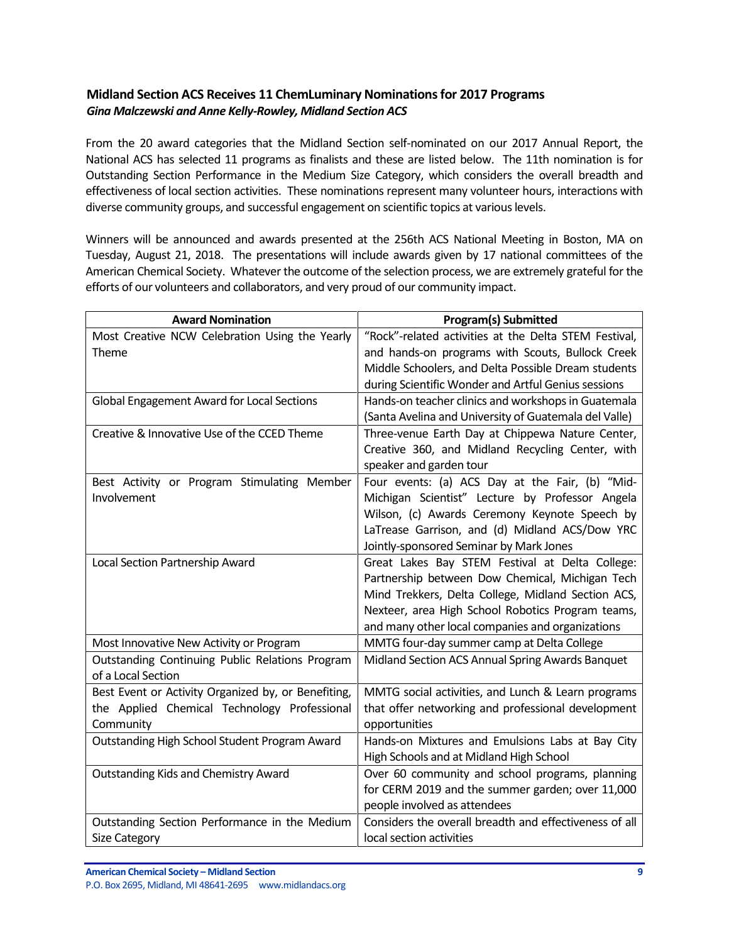### <span id="page-8-0"></span>**Midland Section ACS Receives 11 ChemLuminary Nominations for 2017 Programs** *Gina Malczewski and Anne Kelly-Rowley, Midland Section ACS*

From the 20 award categories that the Midland Section self-nominated on our 2017 Annual Report, the National ACS has selected 11 programs as finalists and these are listed below. The 11th nomination is for Outstanding Section Performance in the Medium Size Category, which considers the overall breadth and effectiveness of local section activities. These nominations represent many volunteer hours, interactions with diverse community groups, and successful engagement on scientific topics at various levels.

Winners will be announced and awards presented at the 256th ACS National Meeting in Boston, MA on Tuesday, August 21, 2018. The presentations will include awards given by 17 national committees of the American Chemical Society. Whatever the outcome of the selection process, we are extremely grateful for the efforts of our volunteers and collaborators, and very proud of our community impact.

| <b>Award Nomination</b>                             | <b>Program(s) Submitted</b>                            |
|-----------------------------------------------------|--------------------------------------------------------|
| Most Creative NCW Celebration Using the Yearly      | "Rock"-related activities at the Delta STEM Festival,  |
| Theme                                               | and hands-on programs with Scouts, Bullock Creek       |
|                                                     | Middle Schoolers, and Delta Possible Dream students    |
|                                                     | during Scientific Wonder and Artful Genius sessions    |
| Global Engagement Award for Local Sections          | Hands-on teacher clinics and workshops in Guatemala    |
|                                                     | (Santa Avelina and University of Guatemala del Valle)  |
| Creative & Innovative Use of the CCED Theme         | Three-venue Earth Day at Chippewa Nature Center,       |
|                                                     | Creative 360, and Midland Recycling Center, with       |
|                                                     | speaker and garden tour                                |
| Best Activity or Program Stimulating Member         | Four events: (a) ACS Day at the Fair, (b) "Mid-        |
| Involvement                                         | Michigan Scientist" Lecture by Professor Angela        |
|                                                     | Wilson, (c) Awards Ceremony Keynote Speech by          |
|                                                     | LaTrease Garrison, and (d) Midland ACS/Dow YRC         |
|                                                     | Jointly-sponsored Seminar by Mark Jones                |
| Local Section Partnership Award                     | Great Lakes Bay STEM Festival at Delta College:        |
|                                                     | Partnership between Dow Chemical, Michigan Tech        |
|                                                     | Mind Trekkers, Delta College, Midland Section ACS,     |
|                                                     | Nexteer, area High School Robotics Program teams,      |
|                                                     | and many other local companies and organizations       |
| Most Innovative New Activity or Program             | MMTG four-day summer camp at Delta College             |
| Outstanding Continuing Public Relations Program     | Midland Section ACS Annual Spring Awards Banquet       |
| of a Local Section                                  |                                                        |
| Best Event or Activity Organized by, or Benefiting, | MMTG social activities, and Lunch & Learn programs     |
| the Applied Chemical Technology Professional        | that offer networking and professional development     |
| Community                                           | opportunities                                          |
| Outstanding High School Student Program Award       | Hands-on Mixtures and Emulsions Labs at Bay City       |
|                                                     | High Schools and at Midland High School                |
| <b>Outstanding Kids and Chemistry Award</b>         | Over 60 community and school programs, planning        |
|                                                     | for CERM 2019 and the summer garden; over 11,000       |
|                                                     | people involved as attendees                           |
| Outstanding Section Performance in the Medium       | Considers the overall breadth and effectiveness of all |
| <b>Size Category</b>                                | local section activities                               |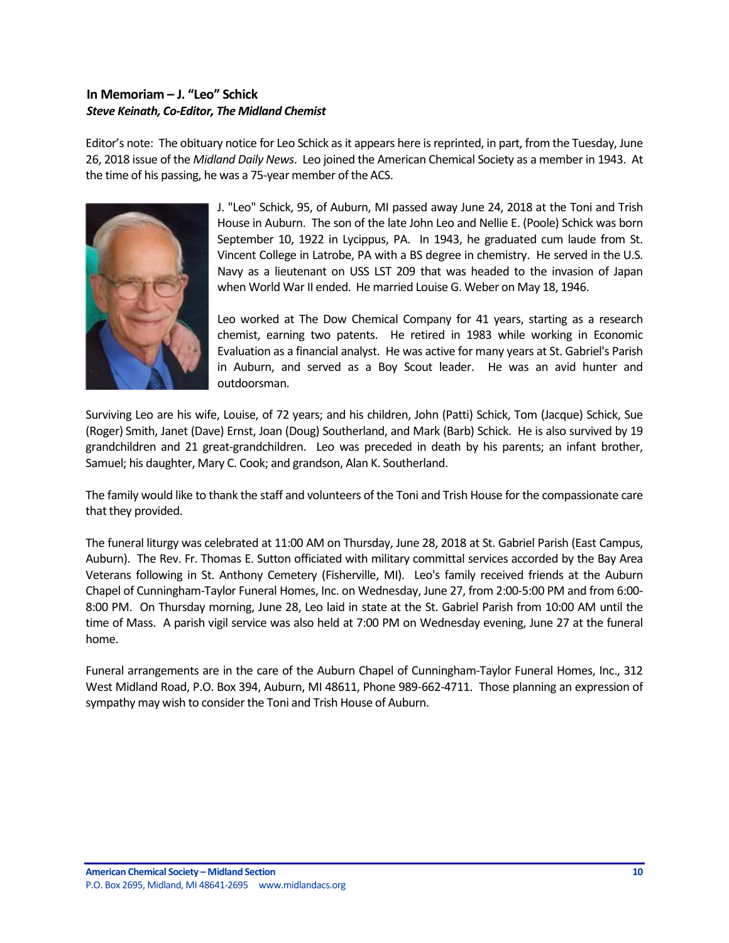### <span id="page-9-0"></span>**In Memoriam – J. "Leo" Schick** *Steve Keinath, Co-Editor, The Midland Chemist*

Editor's note: The obituary notice for Leo Schick as it appears here is reprinted, in part, from the Tuesday, June 26, 2018 issue of the *Midland Daily News*. Leo joined the American Chemical Society as a member in 1943. At the time of his passing, he was a 75-year member of the ACS.



J. "Leo" Schick, 95, of Auburn, MI passed away June 24, 2018 at the Toni and Trish House in Auburn. The son of the late John Leo and Nellie E. (Poole) Schick was born September 10, 1922 in Lycippus, PA. In 1943, he graduated cum laude from St. Vincent College in Latrobe, PA with a BS degree in chemistry. He served in the U.S. Navy as a lieutenant on USS LST 209 that was headed to the invasion of Japan when World War II ended. He married Louise G. Weber on May 18, 1946.

Leo worked at The Dow Chemical Company for 41 years, starting as a research chemist, earning two patents. He retired in 1983 while working in Economic Evaluation as a financial analyst. He was active for many years at St. Gabriel's Parish in Auburn, and served as a Boy Scout leader. He was an avid hunter and outdoorsman.

Surviving Leo are his wife, Louise, of 72 years; and his children, John (Patti) Schick, Tom (Jacque) Schick, Sue (Roger) Smith, Janet (Dave) Ernst, Joan (Doug) Southerland, and Mark (Barb) Schick. He is also survived by 19 grandchildren and 21 great-grandchildren. Leo was preceded in death by his parents; an infant brother, Samuel; his daughter, Mary C. Cook; and grandson, Alan K. Southerland.

The family would like to thank the staff and volunteers of the Toni and Trish House for the compassionate care that they provided.

The funeral liturgy was celebrated at 11:00 AM on Thursday, June 28, 2018 at St. Gabriel Parish (East Campus, Auburn). The Rev. Fr. Thomas E. Sutton officiated with military committal services accorded by the Bay Area Veterans following in St. Anthony Cemetery (Fisherville, MI). Leo's family received friends at the Auburn Chapel of Cunningham-Taylor Funeral Homes, Inc. on Wednesday, June 27, from 2:00-5:00 PM and from 6:00- 8:00 PM. On Thursday morning, June 28, Leo laid in state at the St. Gabriel Parish from 10:00 AM until the time of Mass. A parish vigil service was also held at 7:00 PM on Wednesday evening, June 27 at the funeral home.

Funeral arrangements are in the care of the Auburn Chapel of Cunningham-Taylor Funeral Homes, Inc., 312 West Midland Road, P.O. Box 394, Auburn, MI 48611, Phone 989-662-4711. Those planning an expression of sympathy may wish to consider the Toni and Trish House of Auburn.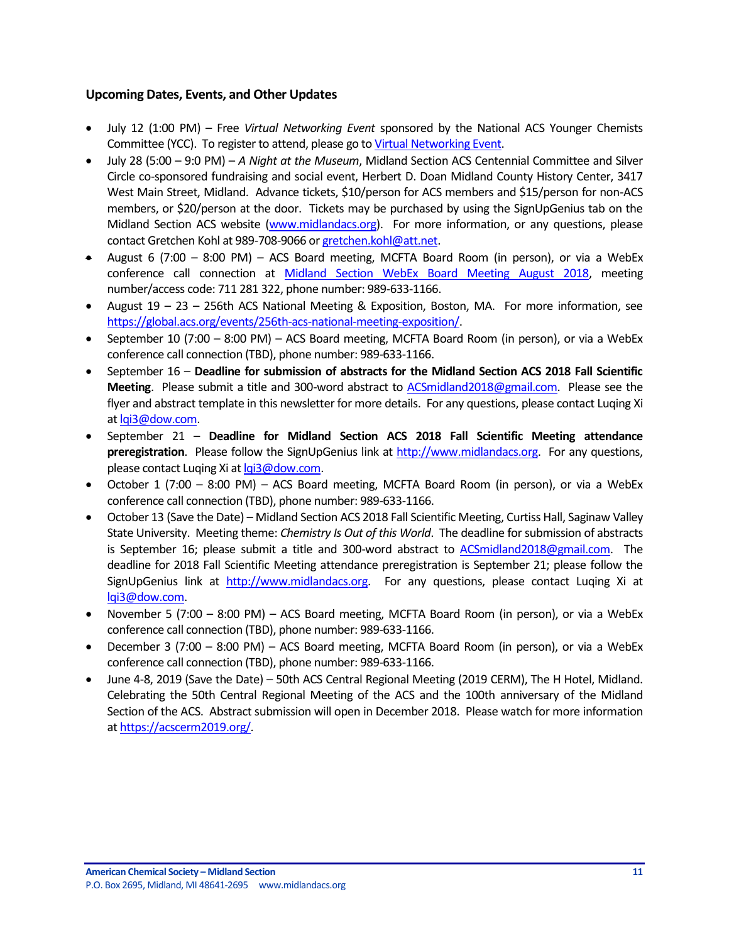#### <span id="page-10-0"></span>**Upcoming Dates, Events, and Other Updates**

- July 12 (1:00 PM) Free *Virtual Networking Event* sponsored by the National ACS Younger Chemists Committee (YCC). To register to attend, please go t[o Virtual Networking Event.](https://register.gotowebinar.com/register/6347349076941753347?source=mail+chimp)
- July 28 (5:00 9:0 PM) *A Night at the Museum*, Midland Section ACS Centennial Committee and Silver Circle co-sponsored fundraising and social event, Herbert D. Doan Midland County History Center, 3417 West Main Street, Midland. Advance tickets, \$10/person for ACS members and \$15/person for non-ACS members, or \$20/person at the door. Tickets may be purchased by using the SignUpGenius tab on the Midland Section ACS website [\(www.midlandacs.org\)](http://www.midlandacs.org/). For more information, or any questions, please contact Gretchen Kohl at 989-708-9066 o[r gretchen.kohl@att.net.](mailto:gretchen.kohl@att.net)
- August 6 (7:00 8:00 PM) ACS Board meeting, MCFTA Board Room (in person), or via a WebEx conference call connection at [Midland Section WebEx Board Meeting August 2018,](https://dow.webex.com/mw3100/mywebex/default.do?service=1&main_url=%2Fmc3100%2Fe.do%3Fsiteurl%3Ddow%26AT%3DMI%26EventID%3D649857842%26MTID%3Dm90f3c89d468751fd497e636af992d221%26Host%3DQUhTSwAAAAR5pPofktJaYPLsXH7mZnFuhA7vH9KTceoBLFIlbvKi-L_2wQ2PyyGlcEx91KfDRarYE5HMPloc7HD46JyY1wy80%26FrameSet%3D2&siteurl=dow&nomenu=true) meeting number/access code: 711 281 322, phone number: 989-633-1166.
- August 19 23 256th ACS National Meeting & Exposition, Boston, MA. For more information, see [https://global.acs.org/events/256th-acs-national-meeting-exposition/.](https://global.acs.org/events/256th-acs-national-meeting-exposition/)
- September 10 (7:00 8:00 PM) ACS Board meeting, MCFTA Board Room (in person), or via a WebEx conference call connection (TBD), phone number: 989-633-1166.
- September 16 **Deadline for submission of abstracts for the Midland Section ACS 2018 Fall Scientific Meeting**. Please submit a title and 300-word abstract to [ACSmidland2018@gmail.com.](mailto:ACSmidland2018@gmail.com) Please see the flyer and abstract template in this newsletter for more details. For any questions, please contact Luqing Xi a[t lqi3@dow.com.](mailto:lqi3@dow.com)
- September 21 **Deadline for Midland Section ACS 2018 Fall Scientific Meeting attendance preregistration**. Please follow the SignUpGenius link at [http://www.midlandacs.org.](http://www.midlandacs.org/) For any questions, please contact Luqing Xi a[t lqi3@dow.com.](mailto:lqi3@dow.com)
- October 1 (7:00 8:00 PM) ACS Board meeting, MCFTA Board Room (in person), or via a WebEx conference call connection (TBD), phone number: 989-633-1166.
- October 13 (Save the Date) Midland Section ACS 2018 Fall Scientific Meeting, Curtiss Hall, Saginaw Valley State University. Meeting theme: *Chemistry Is Out of this World*. The deadline for submission of abstracts is September 16; please submit a title and 300-word abstract to [ACSmidland2018@gmail.com.](mailto:ACSmidland2018@gmail.com) The deadline for 2018 Fall Scientific Meeting attendance preregistration is September 21; please follow the SignUpGenius link at [http://www.midlandacs.org.](http://www.midlandacs.org/) For any questions, please contact Luqing Xi at [lqi3@dow.com.](mailto:lqi3@dow.com)
- November 5 (7:00 8:00 PM) ACS Board meeting, MCFTA Board Room (in person), or via a WebEx conference call connection (TBD), phone number: 989-633-1166.
- December 3 (7:00 8:00 PM) ACS Board meeting, MCFTA Board Room (in person), or via a WebEx conference call connection (TBD), phone number: 989-633-1166.
- June 4-8, 2019 (Save the Date) 50th ACS Central Regional Meeting (2019 CERM), The H Hotel, Midland. Celebrating the 50th Central Regional Meeting of the ACS and the 100th anniversary of the Midland Section of the ACS. Abstract submission will open in December 2018. Please watch for more information a[t https://acscerm2019.org/.](https://acscerm2019.org/)